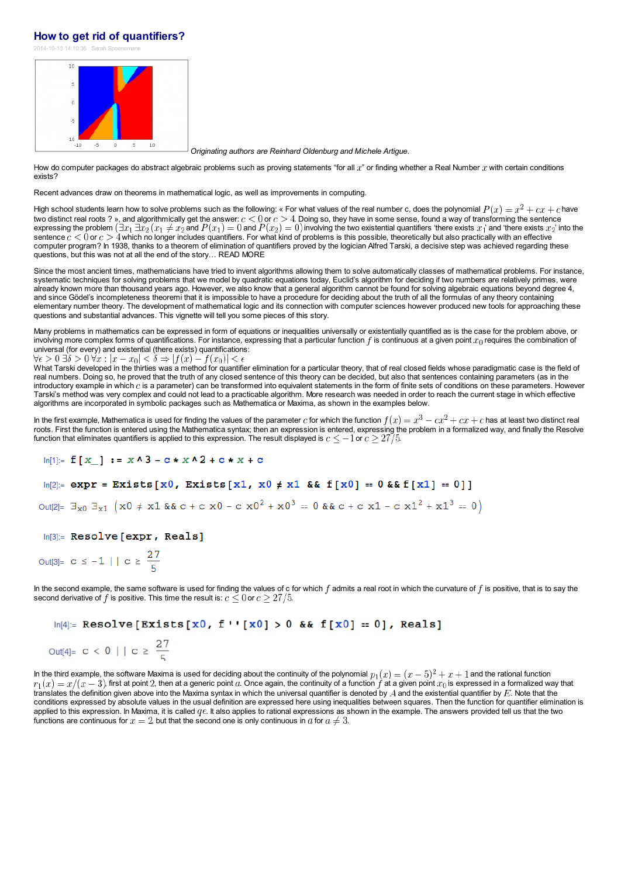#### **How to get rid of [quantifiers?](http://blog.kleinproject.org/?p=2466)**

2014-10-13 14:10:36 Sarah Spor



*Originating authors are Reinhard Oldenburg and Michele Artigue*.

How do computer packages do abstract algebraic problems such as proving statements "for all  $x$ " or finding whether a Real Number  $x$  with certain conditions exists?

Recent advances draw on theorems in mathematical logic, as well as improvements in computing.

High school students learn how to solve problems such as the following: « For what values of the real number c, does the polynomial  $P(x) = x^2 + cx + c$  have two distinct real roots ? », and algorithmically get the answer:  $c < 0$  or  $c > 4$ . Doing so, they have in some sense, found a way of transforming the sentence expressing the problem  $(\exists x_1\,\exists x_2\,(x_1\neq x_2$  and  $P(x_1)=0$  and  $P(x_2)=0)$  involving the two existential quantifiers 'there exists  $x_1$ ' and 'there exists  $x_2$ ' into the sentence  $c < 0$  or  $c > 4$  which no longer includes quantifiers. For what kind of problems is this possible, theoretically but also practically with an effective computer program? In 1938, thanks to a theorem of elimination of quantifiers proved by the logician Alfred Tarski, a decisive step was achieved regarding these questions, but this was not at all the end of the story… READ MORE

Since the most ancient times, mathematicians have tried to invent algorithms allowing them to solve automatically classes of mathematical problems. For instance, systematic techniques for solving problems that we model by quadratic equations today, Euclid's algorithm for deciding if two numbers are relatively primes, were already known more than thousand years ago. However, we also know that a general algorithm cannot be found for solving algebraic equations beyond degree 4, and since Gödel's incompleteness theoremi that it is impossible to have a procedure for deciding about the truth of all the formulas of any theory containing elementary number theory. The development of mathematical logic and its connection with computer sciences however produced new tools for approaching these questions and substantial advances. This vignette will tell you some pieces of this story.

Many problems in mathematics can be expressed in form of equations or inequalities universally or existentially quantified as is the case for the problem above, or involving more complex forms of quantifications. For instance, expressing that a particular function f is continuous at a given point  $x_0$  requires the combination of universal (for every) and existential (there exists) quantifications:<br> $\forall \epsilon > 0 \,\exists \delta > 0 \,\forall x : |x - x_0| < \delta \Rightarrow |f(x) - f(x_0)| < \epsilon$ 

What Tarski developed in the thirties was a method for quantifier elimination for a particular theory, that of real closed fields whose paradigmatic case is the field of real numbers. Doing so, he proved that the truth of any closed sentence of this theory can be decided, but also that sentences containing parameters (as in the introductory example in which c is a parameter) can be transformed into equivalent statements in the form of finite sets of conditions on these parameters. However Tarski's method was very complex and could not lead to a practicable algorithm. More research was needed in order to reach the current stage in which effective algorithms are incorporated in symbolic packages such as Mathematica or Maxima, as shown in the examples below.

In the first example, Mathematica is used for finding the values of the parameter c for which the function  $f(x) = x^3 - cx^2 + cx + c$  has at least two distinct real roots. First the function is entered using the Mathematica syntax; then an expression is entered, expressing the problem in a formalized way, and finally the Resolve function that eliminates quantifiers is applied to this expression. The result displayed is  $c\leq -1$  or  $c\geq 27/5$ .

#### $ln[1] =$   $f [x_$   $x - 3 - c * x - 2 + c * x + c$

### $ln[2]$ := expr = Exists[x0, Exists[x1, x0  $\neq$  x1 && f[x0] == 0 && f[x1] == 0]]

Out[2]=  $\exists_{x0}$   $\exists_{x1}$   $(x0 \neq x1 \& x c + c \times 0 - c \times 0^2 + x0^3 = 0 \& x c + c \times 1 - c \times 1^2 + x1^3 = 0)$ 

In[3]:= Resolve [expr, Reals]

# Out[3]=  $c \le -1$  |  $c \ge \frac{27}{5}$

In the second example, the same software is used for finding the values of c for which  $f$  admits a real root in which the curvature of  $f$  is positive, that is to say the second derivative of f is positive. This time the result is:  $c \leq 0$  or  $c \geq 27/5$ .

 $ln[4]$  = Resolve [Exists [x0, f  $\cdot$  ' [x0] > 0 & f [x0] = 0], Reals]

$$
\text{Out[4]} = c < 0 \mid | \ c \geq \frac{27}{5}
$$

In the third example, the software Maxima is used for deciding about the continuity of the polynomial  $p_1(x) = (x-5)^2 + x + 1$  and the rational function  $r_1(x) = x/(x-3)$ , first at point 2, then at a generic point a. Once again, the continuity of a function f at a given point  $x_0$  is expressed in a formalized way that translates the definition given above into the Maxima syntax in which the universal quantifier is denoted by  $A$  and the existential quantifier by  $E$ . Note that the conditions expressed by absolute values in the usual definition are expressed here using inequalities between squares. Then the function for quantifier elimination is applied to this expression. In Maxima, it is called  $qe$ . It also applies to rational expressions as shown in the example. The answers provided tell us that the two functions are continuous for  $x = 2$ , but that the second one is only continuous in a for  $a \neq 3$ .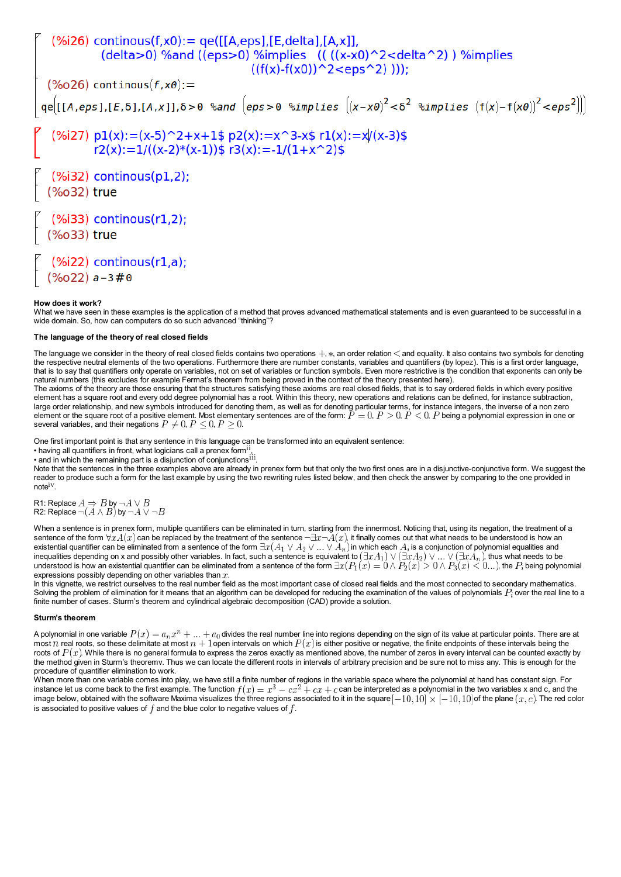$%i26)$  continous(f,x0):= qe([[A,eps],[E,delta],[A,x]], (delta>0) %and ((eps>0) %implies ((((x-x0)^2<delta^2)) %implies  $((f(x)-f(x0))^2:$  $(% )^{(1)}$  continous( $f$ ,  $x0$ ): =  $qe[(A,eps],[E,δ],[A,x]],δ>0$  %and  $(eps>0$  %implies  $((x-x0)^2 < \delta^2$  %implies  $(f(x)-f(x0))^2 < eps^2$ )) (%i27)  $p1(x):=(x-5)^2+x+1$ \$  $p2(x):=x^3-x$ \$  $r1(x):=x/(x-3)$ \$  $r2(x):=1/((x-2)*(x-1))$ \$  $r3(x):=-1/(1+x^2)$ \$  $(% )$  (%i32) continous(p1,2); (%o32) true (%i33) continous(r1,2); (%o33) true  $(% \mathcal{L}(n, \mathcal{L}(n, \mathcal{L}(n, \mathcal{L}(n, \mathcal{L}(n, \mathcal{L}(n, \mathcal{L}(n, \mathcal{L}(n, \mathcal{L}(n, \mathcal{L}(n, \mathcal{L}(n, \mathcal{L}(n, \mathcal{L}(n, \mathcal{L}(n, \mathcal{L}(n, \mathcal{L}(n, \mathcal{L}(n, \mathcal{L}(n, \mathcal{L}(n, \mathcal{L}(n, \mathcal{L}(n, \mathcal{L}(n, \mathcal{L}(n, \mathcal{L}(n, \mathcal{L}(n, \mathcal{L}(n, \mathcal{L}(n, \mathcal$  $(\%o22)$  a - 3#0

#### **How does it work?**

What we have seen in these examples is the application of a method that proves advanced mathematical statements and is even guaranteed to be successful in a wide domain. So, how can computers do so such advanced "thinking"?

#### **The language of the theory of real closed fields**

The language we consider in the theory of real closed fields contains two operations  $+, *$ , an order relation  $\lt$  and equality. It also contains two symbols for denoting the respective neutral elements of the two operations. Furthermore there are number constants, variables and quantifiers (by [lopez](http://www.dress-lace.com/dress-lace-inc-employee-profile-christopher-lopez/)). This is a first order language, that is to say that quantifiers only operate on variables, not on set of variables or function symbols. Even more restrictive is the condition that exponents can only be natural numbers (this excludes for example Fermat's theorem from being proved in the context of the theory presented here).

The axioms of the theory are those ensuring that the structures satisfying these axioms are real closed fields, that is to say ordered fields in which every positive element has a square root and every odd degree polynomial has a root. Within this theory, new operations and relations can be defined, for instance subtraction, large order relationship, and new symbols introduced for denoting them, as well as for denoting particular terms, for instance integers, the inverse of a non zero element or the square root of a positive element. Most elementary sentences are of the form:  $P=0, P>0, P<0, P$  being a polynomial expression in one or several variables, and their negations  $P\neq 0,$   $P\leq 0,$   $P\geq 0.$ 

One first important point is that any sentence in this language can be transformed into an equivalent sentence:

 $\cdot$  having all quantifiers in front, what logicians call a prenex form<sup>il</sup>

• and in which the remaining part is a disjunction of conjunctions<sup>iii</sup>.

Note that the sentences in the three examples above are already in prenex form but that only the two first ones are in a disjunctive-conjunctive form. We suggest the reader to produce such a form for the last example by using the two rewriting rules listed below, and then check the answer by comparing to the one provided in  $note^{iv}$ 

R1: Replace  $A \Rightarrow B$  by -R2: Replace  $\neg(A \land B)$  by -

When a sentence is in prenex form, multiple quantifiers can be eliminated in turn, starting from the innermost. Noticing that, using its negation, the treatment of a sentence of the form  $\forall x A(x)$  can be replaced by the treatment of the sentence  $\neg \exists x \neg A(x)$ , it finally comes out that what needs to be understood is how an existential quantifier can be eliminated from a sentence of the form  $\exists x(A_1 \vee A_2 \vee ... \vee A_n)$  in which each  $A_i$  is a conjunction of polynomial equalities and inequalities depending on x and possibly other variables. In fact, such a sentence is equivalent to  $(\exists x A_1) \vee (\exists x A_2) \vee ... \vee (\exists x A_n)$ , thus what needs to be understood is how an existential quantifier can be eliminated from a sentence of the form  $\exists x (P_1(x)=0 \wedge P_2(x) > 0 \wedge P_3(x) < 0...),$  the  $P_i$  being polynomial expressions possibly depending on other variables than  $x$ .

In this vignette, we restrict ourselves to the real number field as the most important case of closed real fields and the most connected to secondary mathematics. Solving the problem of elimination for it means that an algorithm can be developed for reducing the examination of the values of polynomials  $P_i$  over the real line to a finite number of cases. Sturm's theorem and cylindrical algebraic decomposition (CAD) provide a solution.

#### **Sturm's theorem**

A polynomial in one variable  $P(x) = a_n x^n + ... + a_0$  divides the real number line into regions depending on the sign of its value at particular points. There are at most n real roots, so these delimitate at most  $n + 1$  open intervals on which  $P(x)$  is either positive or negative, the finite endpoints of these intervals being the roots of  $P(x)$ . While there is no general formula to express the zeros exactly as mentioned above, the number of zeros in every interval can be counted exactly by the method given in Sturm's theoremv. Thus we can locate the different roots in intervals of arbitrary precision and be sure not to miss any. This is enough for the procedure of quantifier elimination to work.

When more than one variable comes into play, we have still a finite number of regions in the variable space where the polynomial at hand has constant sign. For instance let us come back to the first example. The function  $f(x) = x^3 - cx^2 + cx + c$  can be interpreted as a polynomial in the two variables x and c, and the image below, obtained with the software Maxima visualizes the three regions associated to it in the square  $[-10, 10] \times [-10, 10]$  of the plane  $(x, c)$ . The red color is associated to positive values of  $f$  and the blue color to negative values of  $f$ .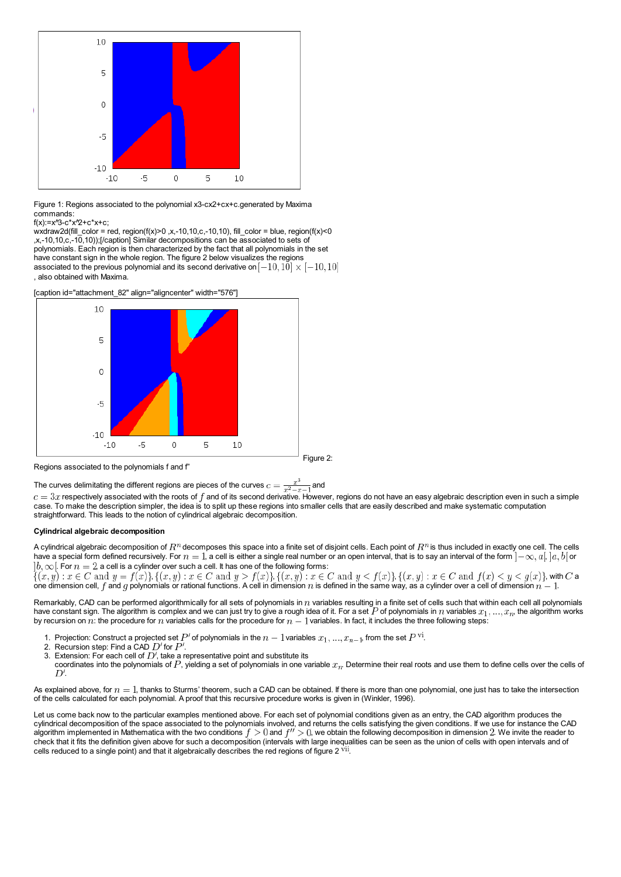

Figure 1: Regions associated to the polynomial x3-cx2+cx+c.generated by Maxima commands:

f(x):=x^3-c\*x^2+c\*x+c;

wxdraw2d(fill\_color = red, region(f(x)>0 ,x,-10,10,c,-10,10), fill\_color = blue, region(f(x)<0 ,x,-10,10,c,-10,10));[/caption] Similar decompositions can be associated to sets of polynomials. Each region is then characterized by the fact that all polynomials in the set have constant sign in the whole region. The figure 2 below visualizes the regions associated to the previous polynomial and its second derivative on  $[-10,10] \times [-10,10]$ , also obtained with Maxima.



Regions associated to the polynomials f and f"

The curves delimitating the different regions are pieces of the curves  $c = \frac{x^3}{x^2 - x - 1}$  and

 $c=3x$  respectively associated with the roots of f and of its second derivative. However, regions do not have an easy algebraic description even in such a simple case. To make the description simpler, the idea is to split up these regions into smaller cells that are easily described and make systematic computation straightforward. This leads to the notion of cylindrical algebraic decomposition.

#### **Cylindrical algebraic decomposition**

A cylindrical algebraic decomposition of  $R^n$  decomposes this space into a finite set of disjoint cells. Each point of  $R^n$  is thus included in exactly one cell. The cells have a special form defined recursively. For  $n=1$ , a cell is either a single real number or an open interval, that is to say an interval of the form  $]-\infty, a[$ ,  $]a, b[$  or  $|b,\infty|$ . For  $n=2$ , a cell is a cylinder over such a cell. It has one of the following forms:

 $\{(x,y): x \in C \text{ and } y = f(x)\}\$ ,  $\{(x,y): x \in C \text{ and } y > f(x)\}$ ,  $\{(x,y): x \in C \text{ and } y < f(x)\}$ ,  $\{(x,y): x \in C \text{ and } f(x) < y < g(x)\}$ , with  $C$  a one dimension cell, f and g polynomials or rational functions. A cell in dimension n is defined in the same way, as a cylinder over a cell of dimension  $n-1$ .

Remarkably, CAD can be performed algorithmically for all sets of polynomials in  $n$  variables resulting in a finite set of cells such that within each cell all polynomials have constant sign. The algorithm is complex and we can just try to give a rough idea of it. For a set  $P$  of polynomials in  $n$  variables  $x_1, ..., x_n$ , the algorithm works by recursion on  $n$ : the procedure for  $n$  variables calls for the procedure for  $n-1$  variables. In fact, it includes the three following steps:

- 1. Projection: Construct a projected set P' of polynomials in the  $n-1$  variables  $x_1, ..., x_{n-1}$ , from the set P  $\overline{v}$
- 2. Recursion step: Find a CAD  $D'$  for  $P'$ .
- 3. Extension: For each cell of  $D'$ , take a representative point and substitute its
- coordinates into the polynomials of  $P$ , yielding a set of polynomials in one variable  $x_n$ . Determine their real roots and use them to define cells over the cells of .

As explained above, for  $n = 1$ , thanks to Sturms' theorem, such a CAD can be obtained. If there is more than one polynomial, one just has to take the intersection of the cells calculated for each polynomial. A proof that this recursive procedure works is given in (Winkler, 1996).

Let us come back now to the particular examples mentioned above. For each set of polynomial conditions given as an entry, the CAD algorithm produces the cylindrical decomposition of the space associated to the polynomials involved, and returns the cells satisfying the given conditions. If we use for instance the CAD algorithm implemented in Mathematica with the two conditions  $f > 0$  and  $f'' > 0$ , we obtain the following decomposition in dimension 2. We invite the reader to check that it fits the definition given above for such a decomposition (intervals with large inequalities can be seen as the union of cells with open intervals and of cells reduced to a single point) and that it algebraically describes the red regions of figure  $2<sup>vil</sup>$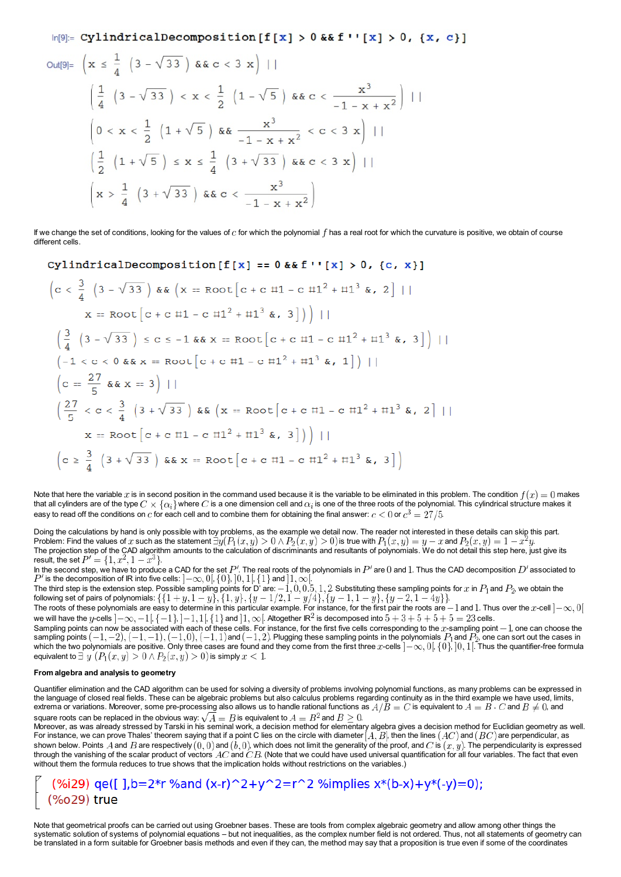$\ln[9]$ := CylindricalDecomposition [f[x] > 0 & & f ''[x] > 0, {x, c}]

Out[9]= 
$$
\left(x \le \frac{1}{4} \left(3 - \sqrt{33}\right) \&c < 3 x\right)
$$
 |   
\n $\left(\frac{1}{4} \left(3 - \sqrt{33}\right) < x < \frac{1}{2} \left(1 - \sqrt{5}\right) \&c < \frac{x^3}{-1 - x + x^2}\right)$  |   
\n $\left(0 < x < \frac{1}{2} \left(1 + \sqrt{5}\right) \&c < \frac{x^3}{-1 - x + x^2} < c < 3 x\right)$  |   
\n $\left(\frac{1}{2} \left(1 + \sqrt{5}\right) \le x \le \frac{1}{4} \left(3 + \sqrt{33}\right) \&c < c < 3 x\right)$  |   
\n $\left(x > \frac{1}{4} \left(3 + \sqrt{33}\right) \&c < c < \frac{x^3}{-1 - x + x^2}\right)$ 

If we change the set of conditions, looking for the values of  $c$  for which the polynomial  $f$  has a real root for which the curvature is positive, we obtain of course different cells.

CylindricalDecomposition [f[x] == 0 && f''[x] > 0, {c, x}]  
\n
$$
\left(c < \frac{3}{4} \left(3 - \sqrt{33}\right) \& \left(x = \text{Root}\left[c + c \pm 1 - c \pm 1^2 + \pm 1^3 \& 2\right] \right)\right|
$$
\n
$$
x = \text{Root}\left[c + c \pm 1 - c \pm 1^2 + \pm 1^3 \& 3\right]\right) \Big| \Big|
$$
\n
$$
\left(\frac{3}{4} \left(3 - \sqrt{33}\right) \le c \le -1 \& \left(x = \text{Root}\left[c + c \pm 1 - c \pm 1^2 + \pm 1^3 \& 3\right]\right) \Big| \Big|
$$
\n
$$
\left(-1 < c < 0 \& x = \text{Root}\left[c + c \pm 1 - c \pm 1^2 + \pm 1^3 \& 1\right]\right) \Big| \Big|
$$
\n
$$
\left(c = \frac{27}{5} \& x = 3\right) \Big| \Big|
$$
\n
$$
\left(\frac{27}{5} < c < \frac{3}{4} \left(3 + \sqrt{33}\right) \& \left(x = \text{Root}\left[c + c \pm 1 - c \pm 1^2 + \pm 1^3 \& 2\right] \right)\Big|
$$
\n
$$
x = \text{Root}\left[c + c \pm 1 - c \pm 1^2 + \pm 1^3 \& 3\right]\right) \Big| \Big|
$$
\n
$$
\left(c \ge \frac{3}{4} \left(3 + \sqrt{33}\right) \& x = \text{Root}\left[c + c \pm 1 - c \pm 1^2 + \pm 1^3 \& 3\right]\right)
$$

Note that here the variable x is in second position in the command used because it is the variable to be eliminated in this problem. The condition  $f(x) = 0$  makes that all cylinders are of the type  $C \times \{\alpha_i\}$  where  $C$  is a one dimension cell and  $\alpha_i$  is one of the three roots of the polynomial. This cylindrical structure makes it easy to read off the conditions on c for each cell and to combine them for obtaining the final answer:  $c < 0$  or  $c^3 = 27/5$ .

Doing the calculations by hand is only possible with toy problems, as the example we detail now. The reader not interested in these details can skip this part. Problem: Find the values of x such as the statement  $\exists y (P_1(x,y) > 0 \wedge P_2(x,y) > 0)$  is true with  $P_1(x,y) = y - x$  and  $P_2(x,y) = 1 - x^2y$ . The projection step of the CAD algorithm amounts to the calculation of discriminants and resultants of polynomials. We do not detail this step here, just give its result, the set  $P' = \{1, x^2, 1 - x^3\}$ .

In the second step, we have to produce a CAD for the set  $P'$ . The real roots of the polynomials in  $P'$  are 0 and 1. Thus the CAD decomposition  $D'$  associated to is the decomposition of IR into five cells:  $]-\infty,0[,\{0\},]0,1[, \{1\}$  and  $]1,\infty[$  .

The third step is the extension step. Possible sampling points for D' are:  $-1,0,0.5,1,2$  Substituting these sampling points for  $x$  in  $P_1$  and  $P_2$ , we obtain the following set of pairs of polynomials:  $\{ \{1+y, 1-y\}, \{1,y\}, \{y-1/2, 1-y/4\}, \{y-1, 1-y\}, \{y-2, 1-4y\} \}$ 

The roots of these polynomials are easy to determine in this particular example. For instance, for the first pair the roots are  $-1$  and 1. Thus over the  $x$ -cell  $]-\infty,0[$ we will have the y-cells  $]-\infty, -1$ ,  $\{-1\}$ ,  $]-1, 1$ ,  $\{1\}$  and  $|1, \infty$ . Altogether IR<sup>2</sup> is decomposed into  $5+3+5+5+5=23$  cells.

Sampling points can now be associated with each of these cells. For instance, for the first five cells corresponding to the x-sampling point  $-1$ , one can choose the sampling points  $(-1,-2), (-1,-1), (-1,0), (-1,1)$  and  $(-1,2)$ . Plugging these sampling points in the polynomials  $P_1$  and  $P_2$ , one can sort out the cases in which the two polynomials are positive. Only three cases are found and they come from the first three  $x$ -cells  $]-\infty,0[,\{0\},]0,1[$ . Thus the quantifier-free formula equivalent to  $\exists y$   $(P_1(x, y) > 0 \land P_2(x, y) > 0)$  is simply  $x < 1$ .

#### **From algebra and analysis to geometry**

Quantifier elimination and the CAD algorithm can be used for solving a diversity of problems involving polynomial functions, as many problems can be expressed in the language of closed real fields. These can be algebraic problems but also calculus problems regarding continuity as in the third example we have used, limits, extrema or variations. Moreover, some pre-processing also allows us to handle rational functions as  $A/B = C$  is equivalent to  $A = B \cdot C$  and  $B \neq 0$ , and square roots can be replaced in the obvious way:  $\sqrt{A} = B$  is equivalent to  $A = B^2$  and  $B \ge 0$ .

Moreover, as was already stressed by Tarski in his seminal work, a decision method for elementary algebra gives a decision method for Euclidian geometry as well. For instance, we can prove Thales' theorem saying that if a point C lies on the circle with diameter  $[A, B]$ , then the lines  $(AC)$  and  $(BC)$  are perpendicular, as shown below. Points A and B are respectively  $(0,0)$  and  $(b,0)$ , which does not limit the generality of the proof, and C is  $(x, y)$ . The perpendicularity is expressed through the vanishing of the scalar product of vectors  $AC$  and  $CB$ . (Note that we could have used universal quantification for all four variables. The fact that even without them the formula reduces to true shows that the implication holds without restrictions on the variables.)

## (%i29) qe([],b=2\*r %and (x-r)^2+y^2=r^2 %implies  $x*(b-x)+y*(-y)=0$ ); (%o29) true

Note that geometrical proofs can be carried out using Groebner bases. These are tools from complex algebraic geometry and allow among other things the systematic solution of systems of polynomial equations – but not inequalities, as the complex number field is not ordered. Thus, not all statements of geometry can be translated in a form suitable for Groebner basis methods and even if they can, the method may say that a proposition is true even if some of the coordinates